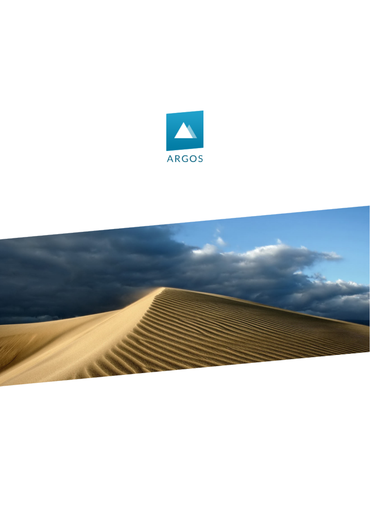

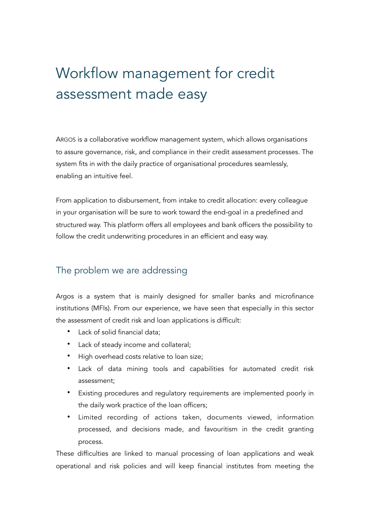# Workflow management for credit assessment made easy

ARGOS is a collaborative workflow management system, which allows organisations to assure governance, risk, and compliance in their credit assessment processes. The system fits in with the daily practice of organisational procedures seamlessly, enabling an intuitive feel.

From application to disbursement, from intake to credit allocation: every colleague in your organisation will be sure to work toward the end-goal in a predefined and structured way. This platform offers all employees and bank officers the possibility to follow the credit underwriting procedures in an efficient and easy way.

#### The problem we are addressing

Argos is a system that is mainly designed for smaller banks and microfinance institutions (MFIs). From our experience, we have seen that especially in this sector the assessment of credit risk and loan applications is difficult:

- Lack of solid financial data;
- Lack of steady income and collateral;
- High overhead costs relative to loan size;
- Lack of data mining tools and capabilities for automated credit risk assessment;
- Existing procedures and regulatory requirements are implemented poorly in the daily work practice of the loan officers;
- Limited recording of actions taken, documents viewed, information processed, and decisions made, and favouritism in the credit granting process.

These difficulties are linked to manual processing of loan applications and weak operational and risk policies and will keep financial institutes from meeting the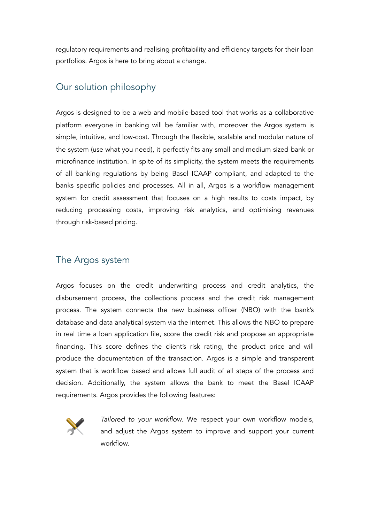regulatory requirements and realising profitability and efficiency targets for their loan portfolios. Argos is here to bring about a change.

## Our solution philosophy

Argos is designed to be a web and mobile-based tool that works as a collaborative platform everyone in banking will be familiar with, moreover the Argos system is simple, intuitive, and low-cost. Through the flexible, scalable and modular nature of the system (use what you need), it perfectly fits any small and medium sized bank or microfinance institution. In spite of its simplicity, the system meets the requirements of all banking regulations by being Basel ICAAP compliant, and adapted to the banks specific policies and processes. All in all, Argos is a workflow management system for credit assessment that focuses on a high results to costs impact, by reducing processing costs, improving risk analytics, and optimising revenues through risk-based pricing.

# The Argos system

Argos focuses on the credit underwriting process and credit analytics, the disbursement process, the collections process and the credit risk management process. The system connects the new business officer (NBO) with the bank's database and data analytical system via the Internet. This allows the NBO to prepare in real time a loan application file, score the credit risk and propose an appropriate financing. This score defines the client's risk rating, the product price and will produce the documentation of the transaction. Argos is a simple and transparent system that is workflow based and allows full audit of all steps of the process and decision. Additionally, the system allows the bank to meet the Basel ICAAP requirements. Argos provides the following features:



*Tailored to your workflow*. We respect your own workflow models, and adjust the Argos system to improve and support your current workflow.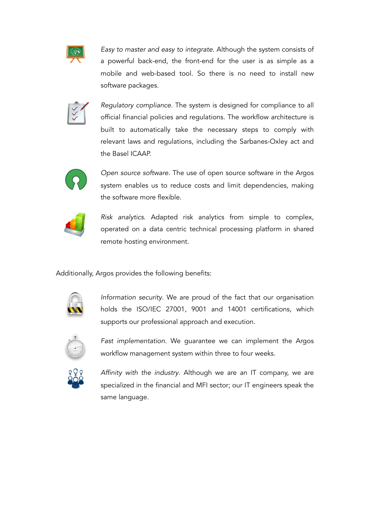

*Easy to master and easy to integrate*. Although the system consists of a powerful back-end, the front-end for the user is as simple as a mobile and web-based tool. So there is no need to install new software packages.



*Regulatory compliance*. The system is designed for compliance to all official financial policies and regulations. The workflow architecture is built to automatically take the necessary steps to comply with relevant laws and regulations, including the Sarbanes-Oxley act and the Basel ICAAP.



*Open source software*. The use of open source software in the Argos system enables us to reduce costs and limit dependencies, making the software more flexible.



*Risk analytics*. Adapted risk analytics from simple to complex, operated on a data centric technical processing platform in shared remote hosting environment.

Additionally, Argos provides the following benefits:



*Information security*. We are proud of the fact that our organisation holds the ISO/IEC 27001, 9001 and 14001 certifications, which supports our professional approach and execution.



*Fast implementation*. We guarantee we can implement the Argos workflow management system within three to four weeks.



*Affinity with the industry*. Although we are an IT company, we are specialized in the financial and MFI sector; our IT engineers speak the same language.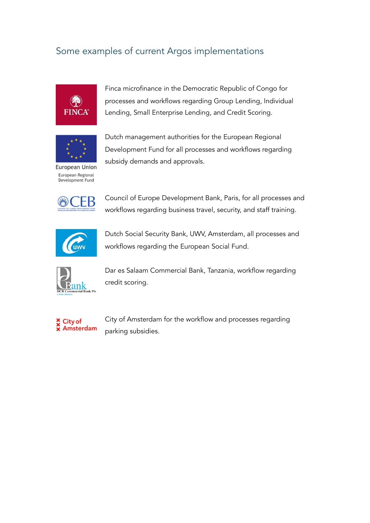# Some examples of current Argos implementations



Finca microfinance in the Democratic Republic of Congo for processes and workflows regarding Group Lending, Individual Lending, Small Enterprise Lending, and Credit Scoring.



Dutch management authorities for the European Regional Development Fund for all processes and workflows regarding subsidy demands and approvals.

European Union European Regional Development Fund



Council of Europe Development Bank, Paris, for all processes and workflows regarding business travel, security, and staff training.



Dutch Social Security Bank, UWV, Amsterdam, all processes and workflows regarding the European Social Fund.



Dar es Salaam Commercial Bank, Tanzania, workflow regarding credit scoring.



City of Amsterdam for the workflow and processes regarding parking subsidies.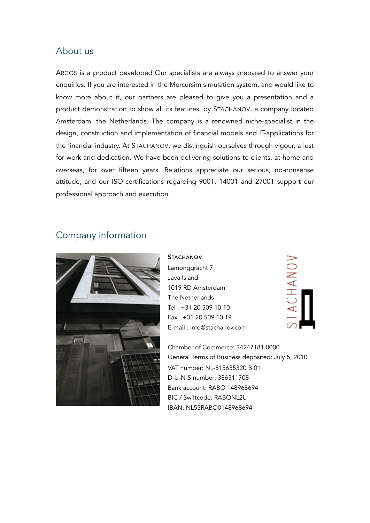#### About us

ARGOS is a product developed Our specialists are always prepared to answer your enquiries. If you are interested in the Mercursim simulation system, and would like to know more about it, our partners are pleased to give you a presentation and a product demonstration to show all its features. by STACHANOV, a company located Amsterdam, the Netherlands. The company is a renowned niche-specialist in the design, construction and implementation of financial models and IT-applications for the financial industry. At STACHANOV, we distinguish ourselves through vigour, a lust for work and dedication. We have been delivering solutions to clients, at home and overseas, for over fifteen years. Relations appreciate our serious, no-nonsense attitude, and our ISO-certifications regarding 9001, 14001 and 27001 support our professional approach and execution.

### Company information



**STACHANOV** Lamonggracht 7 Java Island 1019 RD Amsterdam The Netherlands Tel : +31 20 509 10 10 Fax : +31 20 509 10 19 E-mail : info@stachanov.com

CHANOV

Chamber of Commerce: 34247181 0000 General Terms of Business deposited: July 5, 2010 VAT number: NL-815655320 B 01 D-U-N-S number: 386311708 Bank account: RABO 148968694 BIC / Swiftcode: RABONL2U IBAN: NL53RABO0148968694